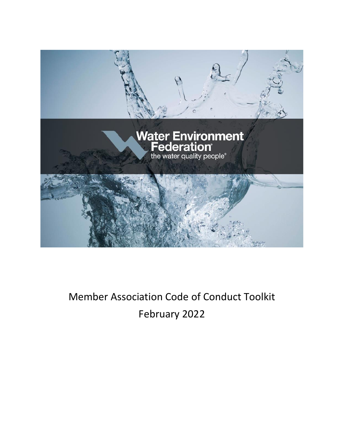

# Member Association Code of Conduct Toolkit February 2022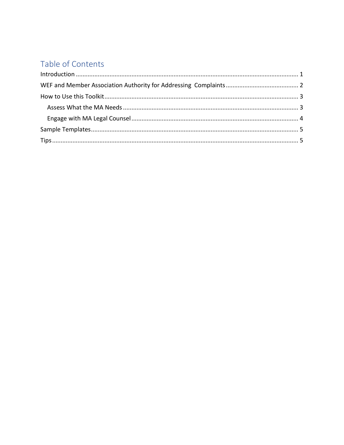# Table of Contents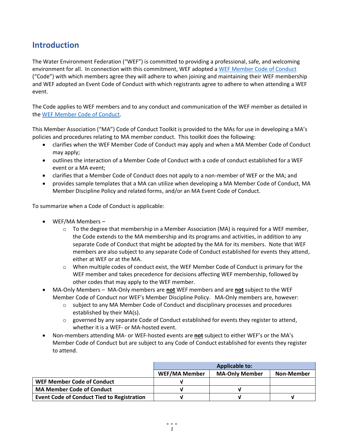# <span id="page-2-0"></span>**Introduction**

The Water Environment Federation ("WEF") is committed to providing a professional, safe, and welcoming environment for all. In connection with this commitment, WEF adopted a [WEF Member Code of Conduct](https://www.wef.org/globalassets/assets-wef/1---about/about-wef/wef-public-policies/wef-member-code-of-conduct.pdf) ("Code") with which members agree they will adhere to when joining and maintaining their WEF membership and WEF adopted an Event Code of Conduct with which registrants agree to adhere to when attending a WEF event.

The Code applies to WEF members and to any conduct and communication of the WEF member as detailed in the WEF [Member Code of Conduct.](https://www.wef.org/globalassets/assets-wef/1---about/about-wef/wef-public-policies/wef-member-code-of-conduct.pdf)

This Member Association ("MA") Code of Conduct Toolkit is provided to the MAs for use in developing a MA's policies and procedures relating to MA member conduct. This toolkit does the following:

- clarifies when the WEF Member Code of Conduct may apply and when a MA Member Code of Conduct may apply;
- outlines the interaction of a Member Code of Conduct with a code of conduct established for a WEF event or a MA event;
- clarifies that a Member Code of Conduct does not apply to a non-member of WEF or the MA; and
- provides sample templates that a MA can utilize when developing a MA Member Code of Conduct, MA Member Discipline Policy and related forms, and/or an MA Event Code of Conduct.

To summarize when a Code of Conduct is applicable:

- WEF/MA Members
	- $\circ$  To the degree that membership in a Member Association (MA) is required for a WEF member, the Code extends to the MA membership and its programs and activities, in addition to any separate Code of Conduct that might be adopted by the MA for its members. Note that WEF members are also subject to any separate Code of Conduct established for events they attend, either at WEF or at the MA.
	- $\circ$  When multiple codes of conduct exist, the WEF Member Code of Conduct is primary for the WEF member and takes precedence for decisions affecting WEF membership, followed by other codes that may apply to the WEF member.
- MA-Only Members MA-Only members are **not** WEF members and are **not** subject to the WEF Member Code of Conduct nor WEF's Member Discipline Policy. MA-Only members are, however:
	- o subject to any MA Member Code of Conduct and disciplinary processes and procedures established by their MA(s).
	- $\circ$  governed by any separate Code of Conduct established for events they register to attend, whether it is a WEF- or MA-hosted event.
- Non-members attending MA- or WEF-hosted events are **not** subject to either WEF's or the MA's Member Code of Conduct but are subject to any Code of Conduct established for events they register to attend.

|                                                   | <b>Applicable to:</b> |                       |            |
|---------------------------------------------------|-----------------------|-----------------------|------------|
|                                                   | <b>WEF/MA Member</b>  | <b>MA-Only Member</b> | Non-Member |
| WEF Member Code of Conduct                        |                       |                       |            |
| <b>MA Member Code of Conduct</b>                  |                       |                       |            |
| <b>Event Code of Conduct Tied to Registration</b> |                       |                       |            |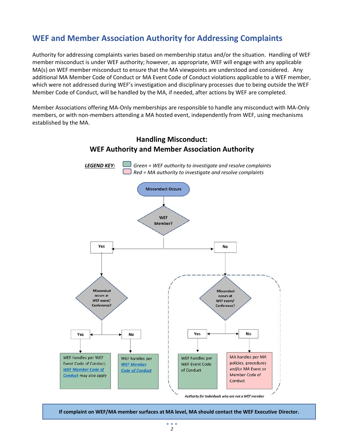# <span id="page-3-0"></span>**WEF and Member Association Authority for Addressing Complaints**

Authority for addressing complaints varies based on membership status and/or the situation. Handling of WEF member misconduct is under WEF authority; however, as appropriate, WEF will engage with any applicable MA(s) on WEF member misconduct to ensure that the MA viewpoints are understood and considered. Any additional MA Member Code of Conduct or MA Event Code of Conduct violations applicable to a WEF member, which were not addressed during WEF's investigation and disciplinary processes due to being outside the WEF Member Code of Conduct, will be handled by the MA, if needed, after actions by WEF are completed.

Member Associations offering MA-Only memberships are responsible to handle any misconduct with MA-Only members, or with non-members attending a MA hosted event, independently from WEF, using mechanisms established by the MA.



### **Handling Misconduct: WEF Authority and Member Association Authority**

**If complaint on WEF/MA member surfaces at MA level, MA should contact the WEF Executive Director.**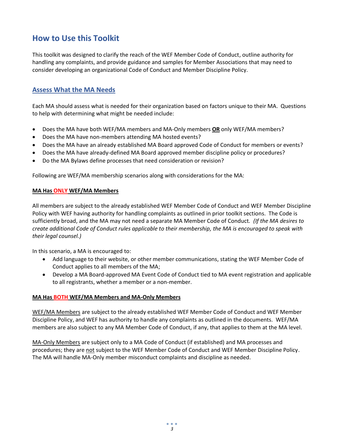### <span id="page-4-0"></span>**How to Use this Toolkit**

This toolkit was designed to clarify the reach of the WEF Member Code of Conduct, outline authority for handling any complaints, and provide guidance and samples for Member Associations that may need to consider developing an organizational Code of Conduct and Member Discipline Policy.

### <span id="page-4-1"></span>**Assess What the MA Needs**

Each MA should assess what is needed for their organization based on factors unique to their MA. Questions to help with determining what might be needed include:

- Does the MA have both WEF/MA members and MA-Only members **OR** only WEF/MA members?
- Does the MA have non-members attending MA hosted events?
- Does the MA have an already established MA Board approved Code of Conduct for members or events?
- Does the MA have already-defined MA Board approved member discipline policy or procedures?
- Do the MA Bylaws define processes that need consideration or revision?

Following are WEF/MA membership scenarios along with considerations for the MA:

#### **MA Has ONLY WEF/MA Members**

All members are subject to the already established WEF Member Code of Conduct and WEF Member Discipline Policy with WEF having authority for handling complaints as outlined in prior toolkit sections. The Code is sufficiently broad, and the MA may not need a separate MA Member Code of Conduct*. (If the MA desires to create additional Code of Conduct rules applicable to their membership, the MA is encouraged to speak with their legal counsel.)*

In this scenario, a MA is encouraged to:

- Add language to their website, or other member communications, stating the WEF Member Code of Conduct applies to all members of the MA;
- Develop a MA Board-approved MA Event Code of Conduct tied to MA event registration and applicable to all registrants, whether a member or a non-member.

#### **MA Has BOTH WEF/MA Members and MA-Only Members**

WEF/MA Members are subject to the already established WEF Member Code of Conduct and WEF Member Discipline Policy, and WEF has authority to handle any complaints as outlined in the documents. WEF/MA members are also subject to any MA Member Code of Conduct, if any, that applies to them at the MA level.

MA-Only Members are subject only to a MA Code of Conduct (if established) and MA processes and procedures; they are not subject to the WEF Member Code of Conduct and WEF Member Discipline Policy. The MA will handle MA-Only member misconduct complaints and discipline as needed.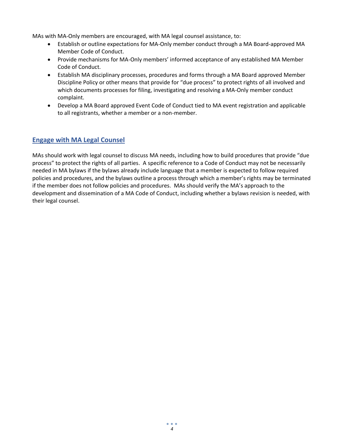MAs with MA-Only members are encouraged, with MA legal counsel assistance, to:

- Establish or outline expectations for MA-Only member conduct through a MA Board-approved MA Member Code of Conduct.
- Provide mechanisms for MA-Only members' informed acceptance of any established MA Member Code of Conduct.
- Establish MA disciplinary processes, procedures and forms through a MA Board approved Member Discipline Policy or other means that provide for "due process" to protect rights of all involved and which documents processes for filing, investigating and resolving a MA-Only member conduct complaint.
- Develop a MA Board approved Event Code of Conduct tied to MA event registration and applicable to all registrants, whether a member or a non-member.

### <span id="page-5-0"></span>**Engage with MA Legal Counsel**

MAs should work with legal counsel to discuss MA needs, including how to build procedures that provide "due process" to protect the rights of all parties. A specific reference to a Code of Conduct may not be necessarily needed in MA bylaws if the bylaws already include language that a member is expected to follow required policies and procedures, and the bylaws outline a process through which a member's rights may be terminated if the member does not follow policies and procedures. MAs should verify the MA's approach to the development and dissemination of a MA Code of Conduct, including whether a bylaws revision is needed, with their legal counsel.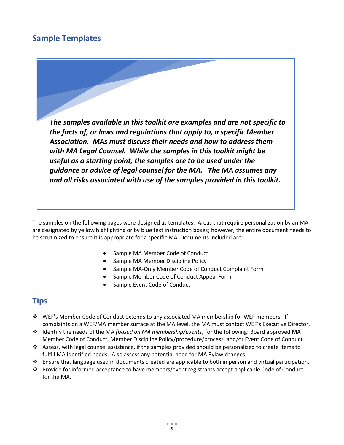# <span id="page-6-0"></span>**Sample Templates**



The samples on the following pages were designed as templates. Areas that require personalization by an MA are designated by yellow highlighting or by blue text instruction boxes; however, the entire document needs to be scrutinized to ensure it is appropriate for a specific MA. Documents included are:

- Sample MA Member Code of Conduct
- Sample MA Member Discipline Policy
- Sample MA-Only Member Code of Conduct Complaint Form
- Sample Member Code of Conduct Appeal Form
- Sample Event Code of Conduct

### <span id="page-6-1"></span>**Tips**

- ❖ WEF's Member Code of Conduct extends to any associated MA membership for WEF members. If complaints on a WEF/MA member surface at the MA level, the MA must contact WEF's Executive Director.
- ❖ Identify the needs of the MA *(based on MA membership/events)* for the following: Board approved MA Member Code of Conduct, Member Discipline Policy/procedure/process, and/or Event Code of Conduct.
- ❖ Assess, with legal counsel assistance, if the samples provided should be personalized to create items to fulfill MA identified needs. Also assess any potential need for MA Bylaw changes.
- ❖ Ensure that language used in documents created are applicable to both in person and virtual participation.
- ❖ Provide for informed acceptance to have members/event registrants accept applicable Code of Conduct for the MA.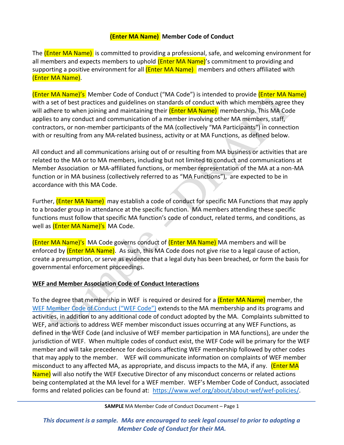### **(Enter MA Name) Member Code of Conduct**

The (Enter MA Name) is committed to providing a professional, safe, and welcoming environment for all members and expects members to uphold (Enter MA Name)'s commitment to providing and supporting a positive environment for all (Enter MA Name) members and others affiliated with (Enter MA Name).

(Enter MA Name)'s Member Code of Conduct ("MA Code") is intended to provide (Enter MA Name) with a set of best practices and guidelines on standards of conduct with which members agree they will adhere to when joining and maintaining their (**Enter MA Name**) membership. This MA Code applies to any conduct and communication of a member involving other MA members, staff, contractors, or non-member participants of the MA (collectively "MA Participants") in connection with or resulting from any MA-related business, activity or at MA Functions, as defined below.

All conduct and all communications arising out of or resulting from MA business or activities that are related to the MA or to MA members, including but not limited to conduct and communications at Member Association or MA-affiliated functions, or member representation of the MA at a non-MA function or in MA business (collectively referred to as "MA Functions"), are expected to be in accordance with this MA Code.

Further, (**Enter MA Name)** may establish a code of conduct for specific MA Functions that may apply to a broader group in attendance at the specific function. MA members attending these specific functions must follow that specific MA function's code of conduct, related terms, and conditions, as well as *(Enter MA Name)'s* MA Code.

(Enter MA Name)'s MA Code governs conduct of (Enter MA Name) MA members and will be enforced by **(Enter MA Name)**. As such, this MA Code does not give rise to a legal cause of action, create a presumption, or serve as evidence that a legal duty has been breached, or form the basis for governmental enforcement proceedings.

### **WEF and Member Association Code of Conduct Interactions**

To the degree that membership in WEF is required or desired for a *(Enter MA Name)* member, the [WEF Member Code of Conduct \("WEF Code"\)](https://www.wef.org/globalassets/assets-wef/1---about/about-wef/wef-public-policies/wef-member-code-of-conduct.pdf) extends to the MA membership and its programs and activities, in addition to any additional code of conduct adopted by the MA. Complaints submitted to WEF, and actions to address WEF member misconduct issues occurring at any WEF Functions, as defined in the WEF Code (and inclusive of WEF member participation in MA functions), are under the jurisdiction of WEF. When multiple codes of conduct exist, the WEF Code will be primary for the WEF member and will take precedence for decisions affecting WEF membership followed by other codes that may apply to the member. WEF will communicate information on complaints of WEF member misconduct to any affected MA, as appropriate, and discuss impacts to the MA, if any. (Enter MA Name) will also notify the WEF Executive Director of any misconduct concerns or related actions being contemplated at the MA level for a WEF member. WEF's Member Code of Conduct, associated forms and related policies can be found at: [https://www.wef.org/about/about-wef/wef-policies/.](https://www.wef.org/about/about-wef/wef-policies/)

**SAMPLE** MA Member Code of Conduct Document – Page 1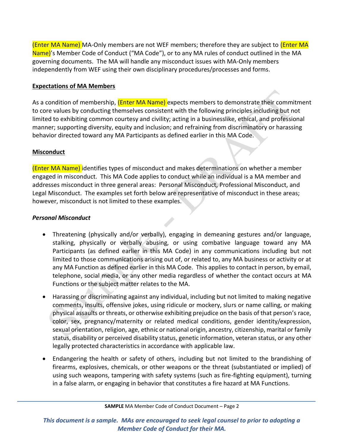(Enter MA Name) MA-Only members are not WEF members; therefore they are subject to (Enter MA Name)'s Member Code of Conduct ("MA Code"), or to any MA rules of conduct outlined in the MA governing documents. The MA will handle any misconduct issues with MA-Only members independently from WEF using their own disciplinary procedures/processes and forms.

### **Expectations of MA Members**

As a condition of membership, (**Enter MA Name**) expects members to demonstrate their commitment to core values by conducting themselves consistent with the following principles including but not limited to exhibiting common courtesy and civility; acting in a businesslike, ethical, and professional manner; supporting diversity, equity and inclusion; and refraining from discriminatory or harassing behavior directed toward any MA Participants as defined earlier in this MA Code.

### **Misconduct**

(Enter MA Name) identifies types of misconduct and makes determinations on whether a member engaged in misconduct. This MA Code applies to conduct while an individual is a MA member and addresses misconduct in three general areas: Personal Misconduct, Professional Misconduct, and Legal Misconduct. The examples set forth below are representative of misconduct in these areas; however, misconduct is not limited to these examples.

### *Personal Misconduct*

- Threatening (physically and/or verbally), engaging in demeaning gestures and/or language, stalking, physically or verbally abusing, or using combative language toward any MA Participants (as defined earlier in this MA Code) in any communications including but not limited to those communications arising out of, or related to, any MA business or activity or at any MA Function as defined earlier in this MA Code. This applies to contact in person, by email, telephone, social media, or any other media regardless of whether the contact occurs at MA Functions or the subject matter relates to the MA.
- Harassing or discriminating against any individual, including but not limited to making negative comments, insults, offensive jokes, using ridicule or mockery, slurs or name calling, or making physical assaults or threats, or otherwise exhibiting prejudice on the basis of that person's race, color, sex, pregnancy/maternity or related medical conditions, gender identity/expression, sexual orientation, religion, age, ethnic or national origin, ancestry, citizenship, marital or family status, disability or perceived disability status, genetic information, veteran status, or any other legally protected characteristics in accordance with applicable law.
- Endangering the health or safety of others, including but not limited to the brandishing of firearms, explosives, chemicals, or other weapons or the threat (substantiated or implied) of using such weapons, tampering with safety systems (such as fire-fighting equipment), turning in a false alarm, or engaging in behavior that constitutes a fire hazard at MA Functions.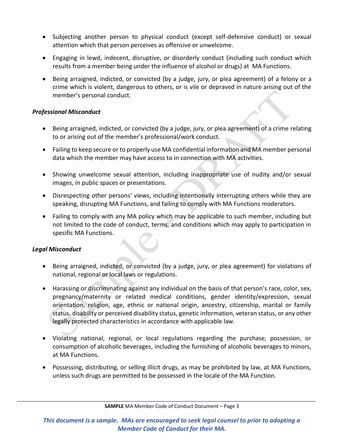- Subjecting another person to physical conduct (except self-defensive conduct) or sexual attention which that person perceives as offensive or unwelcome.
- Engaging in lewd, indecent, disruptive, or disorderly conduct (including such conduct which results from a member being under the influence of alcohol or drugs) at MA Functions.
- Being arraigned, indicted, or convicted (by a judge, jury, or plea agreement) of a felony or a crime which is violent, dangerous to others, or is vile or depraved in nature arising out of the member's personal conduct.

### *Professional Misconduct*

- Being arraigned, indicted, or convicted (by a judge, jury, or plea agreement) of a crime relating to or arising out of the member's professional/work conduct.
- Failing to keep secure or to properly use MA confidential information and MA member personal data which the member may have access to in connection with MA activities.
- Showing unwelcome sexual attention, including inappropriate use of nudity and/or sexual images, in public spaces or presentations.
- Disrespecting other persons' views, including intentionally interrupting others while they are speaking, disrupting MA Functions, and failing to comply with MA Functions moderators.
- Failing to comply with any MA policy which may be applicable to such member, including but not limited to the code of conduct, terms, and conditions which may apply to participation in specific MA Functions.

### *Legal Misconduct*

- Being arraigned, indicted, or convicted (by a judge, jury, or plea agreement) for violations of national, regional or local laws or regulations.
- Harassing or discriminating against any individual on the basis of that person's race, color, sex, pregnancy/maternity or related medical conditions, gender identity/expression, sexual orientation, religion, age, ethnic or national origin, ancestry, citizenship, marital or family status, disability or perceived disability status, genetic information, veteran status, or any other legally protected characteristics in accordance with applicable law.
- Violating national, regional, or local regulations regarding the purchase, possession, or consumption of alcoholic beverages, including the furnishing of alcoholic beverages to minors, at MA Functions.
- Possessing, distributing, or selling illicit drugs, as may be prohibited by law, at MA Functions, unless such drugs are permitted to be possessed in the locale of the MA Function.

**SAMPLE** MA Member Code of Conduct Document – Page 3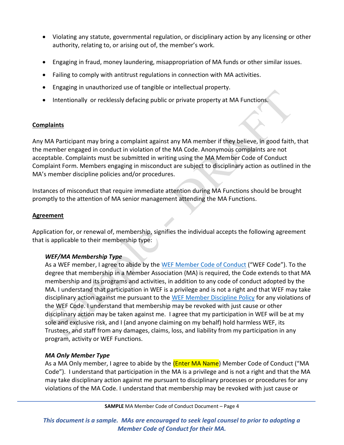- Violating any statute, governmental regulation, or disciplinary action by any licensing or other authority, relating to, or arising out of, the member's work.
- Engaging in fraud, money laundering, misappropriation of MA funds or other similar issues.
- Failing to comply with antitrust regulations in connection with MA activities.
- Engaging in unauthorized use of tangible or intellectual property.
- Intentionally or recklessly defacing public or private property at MA Functions.

### **Complaints**

Any MA Participant may bring a complaint against any MA member if they believe, in good faith, that the member engaged in conduct in violation of the MA Code. Anonymous complaints are not acceptable. Complaints must be submitted in writing using the MA Member Code of Conduct Complaint Form. Members engaging in misconduct are subject to disciplinary action as outlined in the MA's member discipline policies and/or procedures.

Instances of misconduct that require immediate attention during MA Functions should be brought promptly to the attention of MA senior management attending the MA Functions.

### **Agreement**

Application for, or renewal of, membership, signifies the individual accepts the following agreement that is applicable to their membership type:

### *WEF/MA Membership Type*

As a WEF member, I agree to abide by the [WEF Member Code of Conduct](https://www.wef.org/globalassets/assets-wef/1---about/about-wef/wef-public-policies/wef-member-code-of-conduct.pdf) ("WEF Code"). To the degree that membership in a Member Association (MA) is required, the Code extends to that MA membership and its programs and activities, in addition to any code of conduct adopted by the MA. I understand that participation in WEF is a privilege and is not a right and that WEF may take disciplinary action against me pursuant to the [WEF Member Discipline Policy](https://www.wef.org/globalassets/assets-wef/1---about/about-wef/wef-public-policies/wef-member-discipline-policy.pdf) for any violations of the WEF Code. I understand that membership may be revoked with just cause or other disciplinary action may be taken against me. I agree that my participation in WEF will be at my sole and exclusive risk, and I (and anyone claiming on my behalf) hold harmless WEF, its Trustees, and staff from any damages, claims, loss, and liability from my participation in any program, activity or WEF Functions.

### *MA Only Member Type*

As a MA Only member, I agree to abide by the (Enter MA Name) Member Code of Conduct ("MA Code"). I understand that participation in the MA is a privilege and is not a right and that the MA may take disciplinary action against me pursuant to disciplinary processes or procedures for any violations of the MA Code. I understand that membership may be revoked with just cause or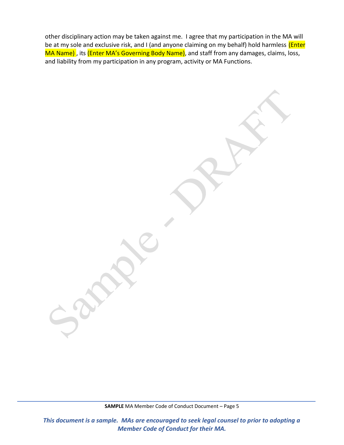other disciplinary action may be taken against me. I agree that my participation in the MA will be at my sole and exclusive risk, and I (and anyone claiming on my behalf) hold harmless (Enter MA Name), its (Enter MA's Governing Body Name), and staff from any damages, claims, loss, and liability from my participation in any program, activity or MA Functions.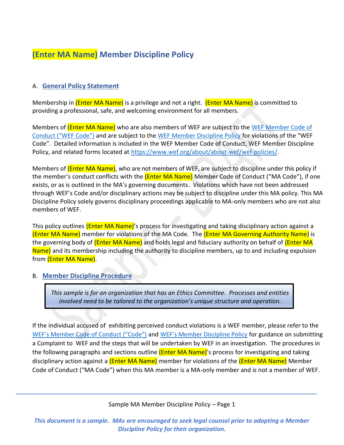# **(Enter MA Name) Member Discipline Policy**

### A. **General Policy Statement**

Membership in (Enter MA Name) is a privilege and not a right. (Enter MA Name) is committed to providing a professional, safe, and welcoming environment for all members.

Members of (**Enter MA Name**) who are also members of WEF are subject to the WEF Member Code of [Conduct \("](https://www.wef.org/globalassets/assets-wef/1---about/about-wef/wef-public-policies/wef-member-code-of-conduct.pdf)WEF Code") and are subject to the WEF [Member Discipline Policy](https://www.wef.org/globalassets/assets-wef/1---about/about-wef/wef-public-policies/wef-member-discipline-policy.pdf) for violations of the "WEF Code". Detailed information is included in the WEF Member Code of Conduct, WEF Member Discipline Policy, and related forms located at [https://www.wef.org/about/about-wef/wef-policies/.](https://www.wef.org/about/about-wef/wef-policies/)

Members of (**Enter MA Name**), who are not members of WEF, are subject to discipline under this policy if the member's conduct conflicts with the **(Enter MA Name)** Member Code of Conduct ("MA Code"), if one exists, or as is outlined in the MA's governing documents. Violations which have not been addressed through WEF's Code and/or disciplinary actions may be subject to discipline under this MA policy. This MA Discipline Policy solely governs disciplinary proceedings applicable to MA-only members who are not also members of WEF.

This policy outlines (Enter MA Name)'s process for investigating and taking disciplinary action against a (Enter MA Name) member for violations of the MA Code. The (Enter MA Governing Authority Name) is the governing body of (Enter MA Name) and holds legal and fiduciary authority on behalf of (Enter MA Name) and its membership including the authority to discipline members, up to and including expulsion from (Enter MA Name).

### B. **Member Discipline Procedure**

*This sample is for an organization that has an Ethics Committee. Processes and entities involved need to be tailored to the organization's unique structure and operation.*

If the individual accused of exhibiting perceived conduct violations is a WEF member, please refer to the [WEF's Member Code of Conduct \("Code"\)](https://www.wef.org/globalassets/assets-wef/1---about/about-wef/wef-public-policies/wef-member-code-of-conduct.pdf) and [WEF's Member Discipline Policy](https://www.wef.org/globalassets/assets-wef/1---about/about-wef/wef-public-policies/wef-member-discipline-policy.pdf) for guidance on submitting a Complaint to WEF and the steps that will be undertaken by WEF in an investigation. The procedures in the following paragraphs and sections outline (Enter MA Name)'s process for investigating and taking disciplinary action against a (Enter MA Name) member for violations of the (Enter MA Name) Member Code of Conduct ("MA Code") when this MA member is a MA-only member and is not a member of WEF.

Sample MA Member Discipline Policy – Page 1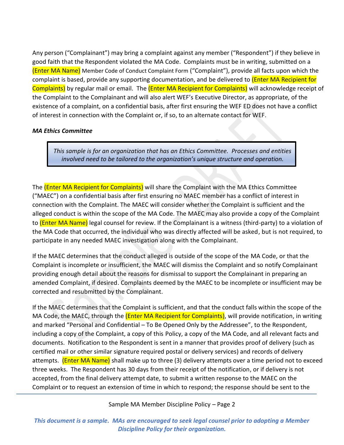Any person ("Complainant") may bring a complaint against any member ("Respondent") if they believe in good faith that the Respondent violated the MA Code. Complaints must be in writing, submitted on a (Enter MA Name) Member Code of Conduct Complaint Form ("Complaint"), provide all facts upon which the complaint is based, provide any supporting documentation, and be delivered to (Enter MA Recipient for Complaints) by regular mail or email. The (Enter MA Recipient for Complaints) will acknowledge receipt of the Complaint to the Complainant and will also alert WEF's Executive Director, as appropriate, of the existence of a complaint, on a confidential basis, after first ensuring the WEF ED does not have a conflict of interest in connection with the Complaint or, if so, to an alternate contact for WEF.

### *MA Ethics Committee*

*This sample is for an organization that has an Ethics Committee. Processes and entities involved need to be tailored to the organization's unique structure and operation.*

The (**Enter MA Recipient for Complaints**) will share the Complaint with the MA Ethics Committee ("MAEC") on a confidential basis after first ensuring no MAEC member has a conflict of interest in connection with the Complaint. The MAEC will consider whether the Complaint is sufficient and the alleged conduct is within the scope of the MA Code. The MAEC may also provide a copy of the Complaint to (Enter MA Name) legal counsel for review. If the Complainant is a witness (third-party) to a violation of the MA Code that occurred, the individual who was directly affected will be asked, but is not required, to participate in any needed MAEC investigation along with the Complainant.

If the MAEC determines that the conduct alleged is outside of the scope of the MA Code, or that the Complaint is incomplete or insufficient, the MAEC will dismiss the Complaint and so notify Complainant providing enough detail about the reasons for dismissal to support the Complainant in preparing an amended Complaint, if desired. Complaints deemed by the MAEC to be incomplete or insufficient may be corrected and resubmitted by the Complainant.

If the MAEC determines that the Complaint is sufficient, and that the conduct falls within the scope of the MA Code, the MAEC, through the (Enter MA Recipient for Complaints), will provide notification, in writing and marked "Personal and Confidential – To Be Opened Only by the Addressee", to the Respondent, including a copy of the Complaint, a copy of this Policy, a copy of the MA Code, and all relevant facts and documents. Notification to the Respondent is sent in a manner that provides proof of delivery (such as certified mail or other similar signature required postal or delivery services) and records of delivery attempts. (**Enter MA Name**) shall make up to three (3) delivery attempts over a time period not to exceed three weeks. The Respondent has 30 days from their receipt of the notification, or if delivery is not accepted, from the final delivery attempt date, to submit a written response to the MAEC on the Complaint or to request an extension of time in which to respond; the response should be sent to the

Sample MA Member Discipline Policy – Page 2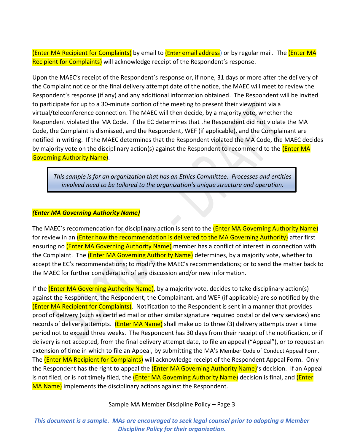(Enter MA Recipient for Complaints) by email to (Enter email address) or by regular mail. The (Enter MA Recipient for Complaints) will acknowledge receipt of the Respondent's response.

Upon the MAEC's receipt of the Respondent's response or, if none, 31 days or more after the delivery of the Complaint notice or the final delivery attempt date of the notice, the MAEC will meet to review the Respondent's response (if any) and any additional information obtained. The Respondent will be invited to participate for up to a 30-minute portion of the meeting to present their viewpoint via a virtual/teleconference connection. The MAEC will then decide, by a majority vote, whether the Respondent violated the MA Code. If the EC determines that the Respondent did not violate the MA Code, the Complaint is dismissed, and the Respondent, WEF (if applicable), and the Complainant are notified in writing. If the MAEC determines that the Respondent violated the MA Code, the MAEC decides by majority vote on the disciplinary action(s) against the Respondent to recommend to the (Enter MA Governing Authority Name).

*This sample is for an organization that has an Ethics Committee. Processes and entities involved need to be tailored to the organization's unique structure and operation.*

### *(Enter MA Governing Authority Name)*

The MAEC's recommendation for disciplinary action is sent to the (*Enter MA Governing Authority Name*) for review in an (Enter how the recommendation is delivered to the MA Governing Authority) after first ensuring no **(Enter MA Governing Authority Name)** member has a conflict of interest in connection with the Complaint. The *(Enter MA Governing Authority Name)* determines, by a majority vote, whether to accept the EC's recommendations; to modify the MAEC's recommendations; or to send the matter back to the MAEC for further consideration of any discussion and/or new information.

If the (Enter MA Governing Authority Name), by a majority vote, decides to take disciplinary action(s) against the Respondent, the Respondent, the Complainant, and WEF (if applicable) are so notified by the (Enter MA Recipient for Complaints). Notification to the Respondent is sent in a manner that provides proof of delivery (such as certified mail or other similar signature required postal or delivery services) and records of delivery attempts. (Enter MA Name) shall make up to three (3) delivery attempts over a time period not to exceed three weeks. The Respondent has 30 days from their receipt of the notification, or if delivery is not accepted, from the final delivery attempt date, to file an appeal ("Appeal"), or to request an extension of time in which to file an Appeal, by submitting the MA's Member Code of Conduct Appeal Form. The (Enter MA Recipient for Complaints) will acknowledge receipt of the Respondent Appeal Form. Only the Respondent has the right to appeal the (Enter MA Governing Authority Name)'s decision. If an Appeal is not filed, or is not timely filed, the (Enter MA Governing Authority Name) decision is final, and (Enter MA Name) implements the disciplinary actions against the Respondent.

Sample MA Member Discipline Policy – Page 3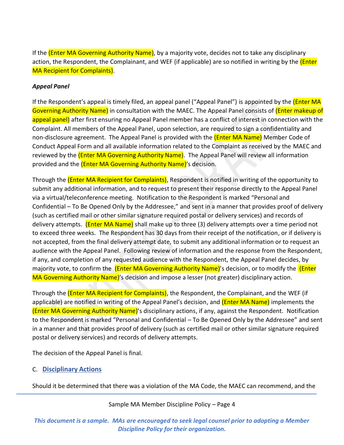If the (Enter MA Governing Authority Name), by a majority vote, decides not to take any disciplinary action, the Respondent, the Complainant, and WEF (if applicable) are so notified in writing by the (*Enter* MA Recipient for Complaints).

### *Appeal Panel*

If the Respondent's appeal is timely filed, an appeal panel ("Appeal Panel") is appointed by the *(Enter MA* Governing Authority Name) in consultation with the MAEC. The Appeal Panel consists of (Enter makeup of appeal panel) after first ensuring no Appeal Panel member has a conflict of interest in connection with the Complaint. All members of the Appeal Panel, upon selection, are required to sign a confidentiality and non-disclosure agreement. The Appeal Panel is provided with the (Enter MA Name) Member Code of Conduct Appeal Form and all available information related to the Complaint as received by the MAEC and reviewed by the (Enter MA Governing Authority Name). The Appeal Panel will review all information provided and the **(Enter MA Governing Authority Name)**'s decision.

Through the (**Enter MA Recipient for Complaints**), Respondent is notified in writing of the opportunity to submit any additional information, and to request to present their response directly to the Appeal Panel via a virtual/teleconference meeting. Notification to the Respondent is marked "Personal and Confidential – To Be Opened Only by the Addressee," and sent in a manner that provides proof of delivery (such as certified mail or other similar signature required postal or delivery services) and records of delivery attempts. (**Enter MA Name)** shall make up to three (3) delivery attempts over a time period not to exceed three weeks. The Respondent has 30 days from their receipt of the notification, or if delivery is not accepted, from the final delivery attempt date, to submit any additional information or to request an audience with the Appeal Panel. Following review of information and the response from the Respondent, if any, and completion of any requested audience with the Respondent, the Appeal Panel decides, by majority vote, to confirm the (Enter MA Governing Authority Name)'s decision, or to modify the (Enter MA Governing Authority Name)'s decision and impose a lesser (not greater) disciplinary action.

Through the (Enter MA Recipient for Complaints), the Respondent, the Complainant, and the WEF (if applicable) are notified in writing of the Appeal Panel's decision, and (**Enter MA Name**) implements the (Enter MA Governing Authority Name)'s disciplinary actions, if any, against the Respondent. Notification to the Respondent is marked "Personal and Confidential – To Be Opened Only by the Addressee" and sent in a manner and that provides proof of delivery (such as certified mail or other similar signature required postal or delivery services) and records of delivery attempts.

The decision of the Appeal Panel is final.

C. **Disciplinary Actions**

Should it be determined that there was a violation of the MA Code, the MAEC can recommend, and the

### Sample MA Member Discipline Policy – Page 4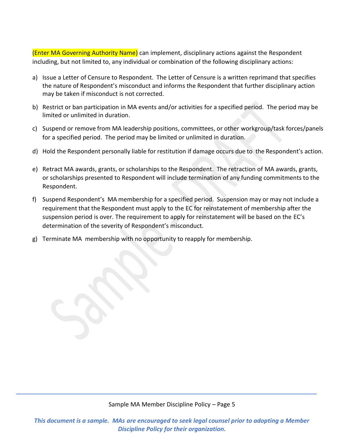(Enter MA Governing Authority Name) can implement, disciplinary actions against the Respondent including, but not limited to, any individual or combination of the following disciplinary actions:

- a) Issue a Letter of Censure to Respondent. The Letter of Censure is a written reprimand that specifies the nature of Respondent's misconduct and informs the Respondent that further disciplinary action may be taken if misconduct is not corrected.
- b) Restrict or ban participation in MA events and/or activities for a specified period. The period may be limited or unlimited in duration.
- c) Suspend or remove from MA leadership positions, committees, or other workgroup/task forces/panels for a specified period. The period may be limited or unlimited in duration.
- d) Hold the Respondent personally liable for restitution if damage occurs due to the Respondent's action.
- e) Retract MA awards, grants, or scholarships to the Respondent. The retraction of MA awards, grants, or scholarships presented to Respondent will include termination of any funding commitments to the Respondent.
- f) Suspend Respondent's MA membership for a specified period. Suspension may or may not include a requirement that the Respondent must apply to the EC for reinstatement of membership after the suspension period is over. The requirement to apply for reinstatement will be based on the EC's determination of the severity of Respondent's misconduct.
- g) Terminate MA membership with no opportunity to reapply for membership.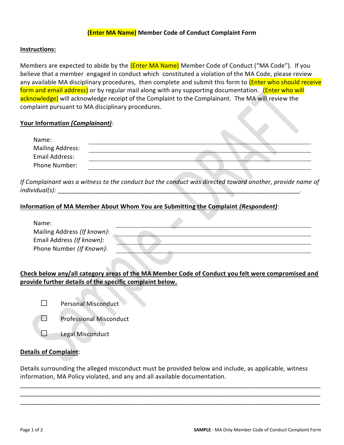### **(Enter MA Name) Member Code of Conduct Complaint Form**

### **Instructions:**

Members are expected to abide by the (Enter MA Name) Member Code of Conduct ("MA Code"). If you believe that a member engaged in conduct which constituted a violation of the MA Code, please review any available MA disciplinary procedures, then complete and submit this form to *(Enter who should receive* form and email address) or by regular mail along with any supporting documentation. (Enter who will acknowledge) will acknowledge receipt of the Complaint to the Complainant. The MA will review the complaint pursuant to MA disciplinary procedures.

### **Your Information** *(Complainant)*:

| Name:                   |  |
|-------------------------|--|
| <b>Mailing Address:</b> |  |
| Email Address:          |  |
| Phone Number:           |  |

*If Complainant was a witness to the conduct but the conduct was directed toward another, provide name of individual(s):* \_\_\_\_\_\_\_\_\_\_\_\_\_\_\_\_\_\_\_\_\_\_\_\_\_\_\_\_\_\_\_\_\_\_\_\_\_\_\_\_\_\_\_\_\_\_\_\_\_\_\_\_\_\_\_\_\_\_\_\_\_\_\_\_\_\_\_\_\_\_\_.

### **Information of MA Member About Whom You are Submitting the Complaint** *(Respondent)*:

| Name:                       |  |
|-----------------------------|--|
| Mailing Address (If known): |  |
| Email Address (If known):   |  |
| Phone Number (If Known):    |  |
|                             |  |

### **Check below any/all category areas of the MA Member Code of Conduct you felt were compromised and provide further details of the specific complaint below.**

 $\Box$  Personal Misconduct



 $\Box$  Legal Misconduct

### **Details of Complaint**:

Details surrounding the alleged misconduct must be provided below and include, as applicable, witness information, MA Policy violated, and any and all available documentation.

\_\_\_\_\_\_\_\_\_\_\_\_\_\_\_\_\_\_\_\_\_\_\_\_\_\_\_\_\_\_\_\_\_\_\_\_\_\_\_\_\_\_\_\_\_\_\_\_\_\_\_\_\_\_\_\_\_\_\_\_\_\_\_\_\_\_\_\_\_\_\_\_\_\_\_\_\_\_\_\_\_\_\_\_\_\_\_\_ \_\_\_\_\_\_\_\_\_\_\_\_\_\_\_\_\_\_\_\_\_\_\_\_\_\_\_\_\_\_\_\_\_\_\_\_\_\_\_\_\_\_\_\_\_\_\_\_\_\_\_\_\_\_\_\_\_\_\_\_\_\_\_\_\_\_\_\_\_\_\_\_\_\_\_\_\_\_\_\_\_\_\_\_\_\_\_\_ \_\_\_\_\_\_\_\_\_\_\_\_\_\_\_\_\_\_\_\_\_\_\_\_\_\_\_\_\_\_\_\_\_\_\_\_\_\_\_\_\_\_\_\_\_\_\_\_\_\_\_\_\_\_\_\_\_\_\_\_\_\_\_\_\_\_\_\_\_\_\_\_\_\_\_\_\_\_\_\_\_\_\_\_\_\_\_\_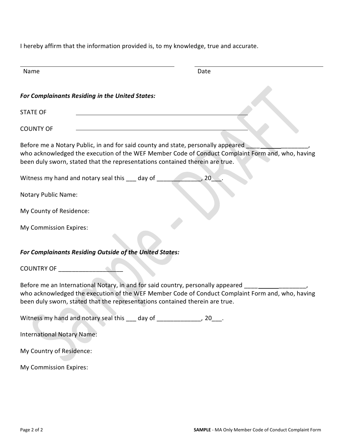I hereby affirm that the information provided is, to my knowledge, true and accurate.

| Name                                                                                                                                                                                                                                                                 | Date |
|----------------------------------------------------------------------------------------------------------------------------------------------------------------------------------------------------------------------------------------------------------------------|------|
| <b>For Complainants Residing in the United States:</b>                                                                                                                                                                                                               |      |
| <b>STATE OF</b>                                                                                                                                                                                                                                                      |      |
| <b>COUNTY OF</b>                                                                                                                                                                                                                                                     |      |
| Before me a Notary Public, in and for said county and state, personally appeared<br>who acknowledged the execution of the WEF Member Code of Conduct Complaint Form and, who, having<br>been duly sworn, stated that the representations contained therein are true. |      |
| Witness my hand and notary seal this ___ day of                                                                                                                                                                                                                      | 20   |
| <b>Notary Public Name:</b>                                                                                                                                                                                                                                           |      |
| My County of Residence:                                                                                                                                                                                                                                              |      |
| My Commission Expires:                                                                                                                                                                                                                                               |      |
| For Complainants Residing Outside of the United States:                                                                                                                                                                                                              |      |
| <b>COUNTRY OF</b>                                                                                                                                                                                                                                                    |      |
| Before me an International Notary, in and for said country, personally appeared<br>who acknowledged the execution of the WEF Member Code of Conduct Complaint Form and, who, having<br>been duly sworn, stated that the representations contained therein are true.  |      |
| Witness my hand and notary seal this ___ day of ______________, 20___.                                                                                                                                                                                               |      |
| <b>International Notary Name:</b>                                                                                                                                                                                                                                    |      |
| My Country of Residence:                                                                                                                                                                                                                                             |      |
| My Commission Expires:                                                                                                                                                                                                                                               |      |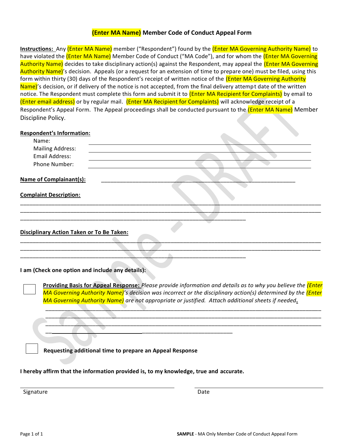### **(Enter MA Name) Member Code of Conduct Appeal Form**

**Instructions:** Any (Enter MA Name) member ("Respondent") found by the (Enter MA Governing Authority Name) to have violated the (Enter MA Name) Member Code of Conduct ("MA Code"), and for whom the (Enter MA Governing Authority Name) decides to take disciplinary action(s) against the Respondent, may appeal the (Enter MA Governing Authority Name)'s decision. Appeals (or a request for an extension of time to prepare one) must be filed, using this form within thirty (30) days of the Respondent's receipt of written notice of the (Enter MA Governing Authority Name)'s decision, or if delivery of the notice is not accepted, from the final delivery attempt date of the written notice. The Respondent must complete this form and submit it to (*Enter MA Recipient for Complaints*) by email to (Enter email address) or by regular mail. (Enter MA Recipient for Complaints) will acknowledge receipt of a Respondent's Appeal Form. The Appeal proceedings shall be conducted pursuant to the (Enter MA Name) Member Discipline Policy.

#### **Respondent's Information:**

| Name:                                            |  |
|--------------------------------------------------|--|
| <b>Mailing Address:</b>                          |  |
| Email Address:                                   |  |
| Phone Number:                                    |  |
| <b>Name of Complainant(s):</b>                   |  |
| <b>Complaint Description:</b>                    |  |
|                                                  |  |
| Disciplinary Action Taken or To Be Taken:        |  |
| I am (Check one option and include any details): |  |

**Providing Basis for Appeal Response:** *Please provide information and details as to why you believe the (Enter MA Governing Authority Name)*<sup>'</sup>s decision was incorrect or the disciplinary action(s) determined by the *(Enter MA Governing Authority Name) are not appropriate or justified. Attach additional sheets if needed***.**

\_\_\_\_\_\_\_\_\_\_\_\_\_\_\_\_\_\_\_\_\_\_\_\_\_\_\_\_\_\_\_\_\_\_\_\_\_\_\_\_\_\_\_\_\_\_\_\_\_\_\_\_\_\_\_\_\_\_\_\_\_\_\_\_\_\_\_\_\_\_\_\_\_\_\_\_\_\_\_\_\_\_\_\_\_\_\_\_ \_\_\_\_\_\_\_\_\_\_\_\_\_\_\_\_\_\_\_\_\_\_\_\_\_\_\_\_\_\_\_\_\_\_\_\_\_\_\_\_\_\_\_\_\_\_\_\_\_\_\_\_\_\_\_\_\_\_\_\_\_\_\_\_\_\_\_\_\_\_\_\_\_\_\_\_\_\_\_\_\_\_\_\_\_\_\_\_ \_\_\_\_\_\_\_\_\_\_\_\_\_\_\_\_\_\_\_\_\_\_\_\_\_\_\_\_\_\_\_\_\_\_\_\_\_\_\_\_\_\_\_\_\_\_\_\_\_\_\_\_\_\_\_\_\_\_\_\_\_\_\_\_\_\_\_\_\_\_\_\_\_\_\_\_\_\_\_\_\_\_\_\_\_\_\_\_

**Requesting additional time to prepare an Appeal Response** 

**I hereby affirm that the information provided is, to my knowledge, true and accurate.**

 $\overline{\phantom{a}}$  ,  $\overline{\phantom{a}}$  ,  $\overline{\phantom{a}}$  ,  $\overline{\phantom{a}}$  ,  $\overline{\phantom{a}}$  ,  $\overline{\phantom{a}}$  ,  $\overline{\phantom{a}}$  ,  $\overline{\phantom{a}}$  ,  $\overline{\phantom{a}}$  ,  $\overline{\phantom{a}}$  ,  $\overline{\phantom{a}}$  ,  $\overline{\phantom{a}}$  ,  $\overline{\phantom{a}}$  ,  $\overline{\phantom{a}}$  ,  $\overline{\phantom{a}}$  ,  $\overline{\phantom{a}}$ 

Signature Date